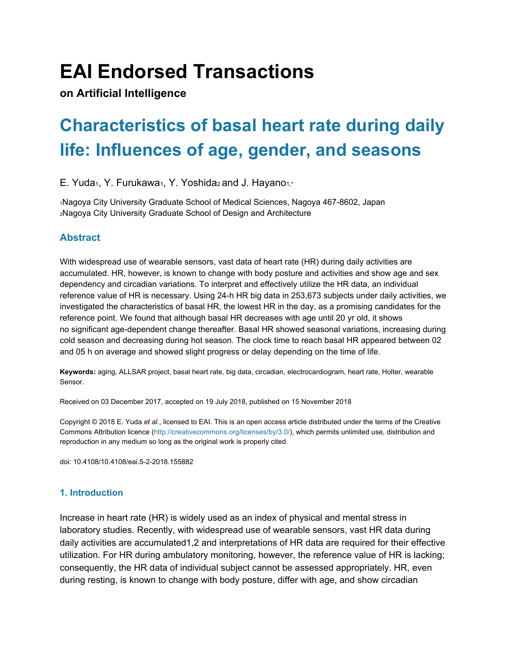# **EAI Endorsed Transactions**

**on Artificial Intelligence**

## **Characteristics of basal heart rate during daily life: Influences of age, gender, and seasons**

E. Yuda<sub>1</sub>, Y. Furukawa<sub>1</sub>, Y. Yoshida<sub>2</sub> and J. Hayano<sub>1,\*</sub>

<sup>1</sup>Nagoya City University Graduate School of Medical Sciences, Nagoya 467-8602, Japan <sup>2</sup>Nagoya City University Graduate School of Design and Architecture

## **Abstract**

With widespread use of wearable sensors, vast data of heart rate (HR) during daily activities are accumulated. HR, however, is known to change with body posture and activities and show age and sex dependency and circadian variations. To interpret and effectively utilize the HR data, an individual reference value of HR is necessary. Using 24-h HR big data in 253,673 subjects under daily activities, we investigated the characteristics of basal HR, the lowest HR in the day, as a promising candidates for the reference point. We found that although basal HR decreases with age until 20 yr old, it shows no significant age-dependent change thereafter. Basal HR showed seasonal variations, increasing during cold season and decreasing during hot season. The clock time to reach basal HR appeared between 02 and 05 h on average and showed slight progress or delay depending on the time of life.

**Keywords:** aging, ALLSAR project, basal heart rate, big data, circadian, electrocardiogram, heart rate, Holter, wearable Sensor.

Received on 03 December 2017, accepted on 19 July 2018, published on 15 November 2018

Copyright © 2018 E. Yuda *et al.*, licensed to EAI. This is an open access article distributed under the terms of the Creative Commons Attribution licence (http://creativecommons.org/licenses/by/3.0/), which permits unlimited use, distribution and reproduction in any medium so long as the original work is properly cited.

doi: 10.4108/10.4108/eai.5-2-2018.155882

## **1. Introduction**

Increase in heart rate (HR) is widely used as an index of physical and mental stress in laboratory studies. Recently, with widespread use of wearable sensors, vast HR data during daily activities are accumulated1,2 and interpretations of HR data are required for their effective utilization. For HR during ambulatory monitoring, however, the reference value of HR is lacking; consequently, the HR data of individual subject cannot be assessed appropriately. HR, even during resting, is known to change with body posture, differ with age, and show circadian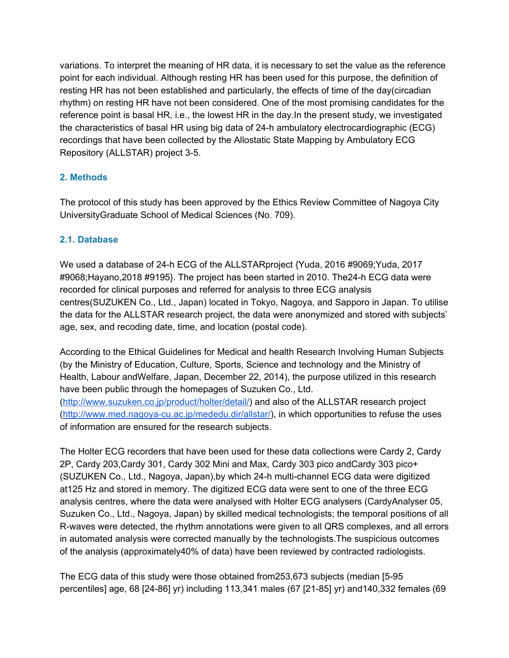variations. To interpret the meaning of HR data, it is necessary to set the value as the reference point for each individual. Although resting HR has been used for this purpose, the definition of resting HR has not been established and particularly, the effects of time of the day(circadian rhythm) on resting HR have not been considered. One of the most promising candidates for the reference point is basal HR, i.e., the lowest HR in the day.In the present study, we investigated the characteristics of basal HR using big data of 24-h ambulatory electrocardiographic (ECG) recordings that have been collected by the Allostatic State Mapping by Ambulatory ECG Repository (ALLSTAR) project 3-5.

## **2. Methods**

The protocol of this study has been approved by the Ethics Review Committee of Nagoya City UniversityGraduate School of Medical Sciences (No. 709).

#### **2.1. Database**

We used a database of 24-h ECG of the ALLSTARproject {Yuda, 2016 #9069;Yuda, 2017 #9068;Hayano,2018 #9195}. The project has been started in 2010. The24-h ECG data were recorded for clinical purposes and referred for analysis to three ECG analysis centres(SUZUKEN Co., Ltd., Japan) located in Tokyo, Nagoya, and Sapporo in Japan. To utilise the data for the ALLSTAR research project, the data were anonymized and stored with subjects' age, sex, and recoding date, time, and location (postal code).

According to the Ethical Guidelines for Medical and health Research Involving Human Subjects (by the Ministry of Education, Culture, Sports, Science and technology and the Ministry of Health, Labour andWelfare, Japan, December 22, 2014), the purpose utilized in this research have been public through the homepages of Suzuken Co., Ltd. ([http://www.suzuken.co.jp/product/holter/detail/\)](http://www.suzuken.co.jp/product/holter/detail/) and also of the ALLSTAR research project ([http://www.med.nagoya-cu.ac.jp/mededu.dir/allstar/\)](http://www.med.nagoya-cu.ac.jp/mededu.dir/allstar/), in which opportunities to refuse the uses of information are ensured for the research subjects.

The Holter ECG recorders that have been used for these data collections were Cardy 2, Cardy 2P, Cardy 203,Cardy 301, Cardy 302 Mini and Max, Cardy 303 pico andCardy 303 pico+ (SUZUKEN Co., Ltd., Nagoya, Japan),by which 24-h multi-channel ECG data were digitized at125 Hz and stored in memory. The digitized ECG data were sent to one of the three ECG analysis centres, where the data were analysed with Holter ECG analysers (CardyAnalyser 05, Suzuken Co., Ltd., Nagoya, Japan) by skilled medical technologists; the temporal positions of all R-waves were detected, the rhythm annotations were given to all QRS complexes, and all errors in automated analysis were corrected manually by the technologists.The suspicious outcomes of the analysis (approximately40% of data) have been reviewed by contracted radiologists.

The ECG data of this study were those obtained from253,673 subjects (median [5-95 percentiles] age, 68 [24-86] yr) including 113,341 males (67 [21-85] yr) and140,332 females (69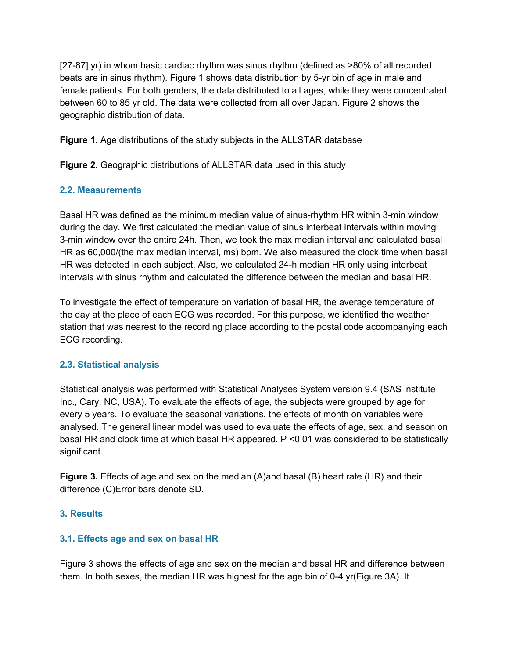[27-87] yr) in whom basic cardiac rhythm was sinus rhythm (defined as >80% of all recorded beats are in sinus rhythm). Figure 1 shows data distribution by 5-yr bin of age in male and female patients. For both genders, the data distributed to all ages, while they were concentrated between 60 to 85 yr old. The data were collected from all over Japan. Figure 2 shows the geographic distribution of data.

**Figure 1.** Age distributions of the study subjects in the ALLSTAR database

**Figure 2.** Geographic distributions of ALLSTAR data used in this study

## **2.2. Measurements**

Basal HR was defined as the minimum median value of sinus-rhythm HR within 3-min window during the day. We first calculated the median value of sinus interbeat intervals within moving 3-min window over the entire 24h. Then, we took the max median interval and calculated basal HR as 60,000/(the max median interval, ms) bpm. We also measured the clock time when basal HR was detected in each subject. Also, we calculated 24-h median HR only using interbeat intervals with sinus rhythm and calculated the difference between the median and basal HR.

To investigate the effect of temperature on variation of basal HR, the average temperature of the day at the place of each ECG was recorded. For this purpose, we identified the weather station that was nearest to the recording place according to the postal code accompanying each ECG recording.

## **2.3. Statistical analysis**

Statistical analysis was performed with Statistical Analyses System version 9.4 (SAS institute Inc., Cary, NC, USA). To evaluate the effects of age, the subjects were grouped by age for every 5 years. To evaluate the seasonal variations, the effects of month on variables were analysed. The general linear model was used to evaluate the effects of age, sex, and season on basal HR and clock time at which basal HR appeared. P <0.01 was considered to be statistically significant.

**Figure 3.** Effects of age and sex on the median (A)and basal (B) heart rate (HR) and their difference (C)Error bars denote SD.

## **3. Results**

## **3.1. Effects age and sex on basal HR**

Figure 3 shows the effects of age and sex on the median and basal HR and difference between them. In both sexes, the median HR was highest for the age bin of 0-4 yr(Figure 3A). It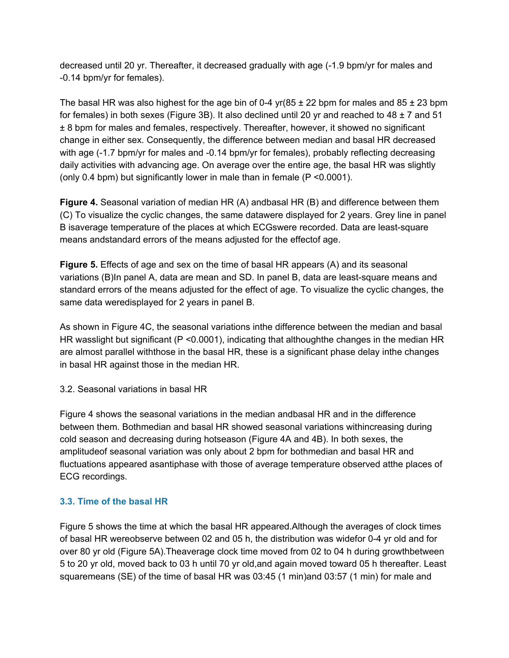decreased until 20 yr. Thereafter, it decreased gradually with age (-1.9 bpm/yr for males and -0.14 bpm/yr for females).

The basal HR was also highest for the age bin of 0-4 yr( $85 \pm 22$  bpm for males and  $85 \pm 23$  bpm for females) in both sexes (Figure 3B). It also declined until 20 yr and reached to 48  $\pm$  7 and 51 ± 8 bpm for males and females, respectively. Thereafter, however, it showed no significant change in either sex. Consequently, the difference between median and basal HR decreased with age (-1.7 bpm/yr for males and -0.14 bpm/yr for females), probably reflecting decreasing daily activities with advancing age. On average over the entire age, the basal HR was slightly (only 0.4 bpm) but significantly lower in male than in female (P <0.0001).

**Figure 4.** Seasonal variation of median HR (A) andbasal HR (B) and difference between them (C) To visualize the cyclic changes, the same datawere displayed for 2 years. Grey line in panel B isaverage temperature of the places at which ECGswere recorded. Data are least-square means andstandard errors of the means adjusted for the effectof age.

**Figure 5.** Effects of age and sex on the time of basal HR appears (A) and its seasonal variations (B)In panel A, data are mean and SD. In panel B, data are least-square means and standard errors of the means adjusted for the effect of age. To visualize the cyclic changes, the same data weredisplayed for 2 years in panel B.

As shown in Figure 4C, the seasonal variations inthe difference between the median and basal HR wasslight but significant (P <0.0001), indicating that althoughthe changes in the median HR are almost parallel withthose in the basal HR, these is a significant phase delay inthe changes in basal HR against those in the median HR.

3.2. Seasonal variations in basal HR

Figure 4 shows the seasonal variations in the median andbasal HR and in the difference between them. Bothmedian and basal HR showed seasonal variations withincreasing during cold season and decreasing during hotseason (Figure 4A and 4B). In both sexes, the amplitudeof seasonal variation was only about 2 bpm for bothmedian and basal HR and fluctuations appeared asantiphase with those of average temperature observed atthe places of ECG recordings.

## **3.3. Time of the basal HR**

Figure 5 shows the time at which the basal HR appeared.Although the averages of clock times of basal HR wereobserve between 02 and 05 h, the distribution was widefor 0-4 yr old and for over 80 yr old (Figure 5A).Theaverage clock time moved from 02 to 04 h during growthbetween 5 to 20 yr old, moved back to 03 h until 70 yr old,and again moved toward 05 h thereafter. Least squaremeans (SE) of the time of basal HR was 03:45 (1 min)and 03:57 (1 min) for male and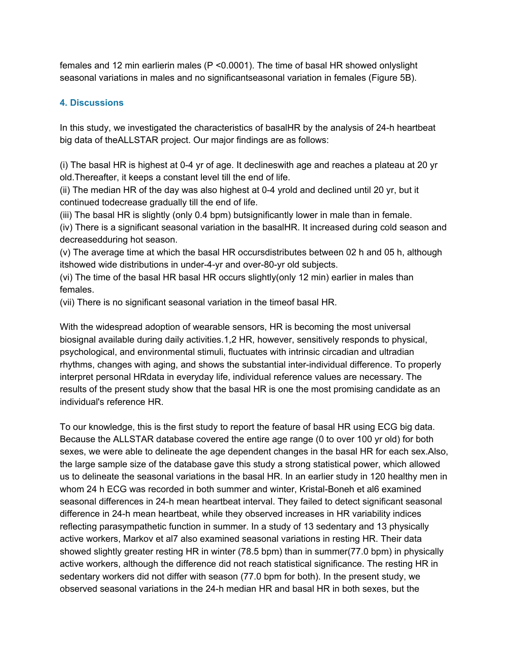females and 12 min earlierin males (P <0.0001). The time of basal HR showed onlyslight seasonal variations in males and no significantseasonal variation in females (Figure 5B).

## **4. Discussions**

In this study, we investigated the characteristics of basalHR by the analysis of 24-h heartbeat big data of theALLSTAR project. Our major findings are as follows:

(i) The basal HR is highest at 0-4 yr of age. It declineswith age and reaches a plateau at 20 yr old.Thereafter, it keeps a constant level till the end of life.

(ii) The median HR of the day was also highest at 0-4 yrold and declined until 20 yr, but it continued todecrease gradually till the end of life.

(iii) The basal HR is slightly (only 0.4 bpm) butsignificantly lower in male than in female.

(iv) There is a significant seasonal variation in the basalHR. It increased during cold season and decreasedduring hot season.

(v) The average time at which the basal HR occursdistributes between 02 h and 05 h, although itshowed wide distributions in under-4-yr and over-80-yr old subjects.

(vi) The time of the basal HR basal HR occurs slightly(only 12 min) earlier in males than females.

(vii) There is no significant seasonal variation in the timeof basal HR.

With the widespread adoption of wearable sensors, HR is becoming the most universal biosignal available during daily activities.1,2 HR, however, sensitively responds to physical, psychological, and environmental stimuli, fluctuates with intrinsic circadian and ultradian rhythms, changes with aging, and shows the substantial inter-individual difference. To properly interpret personal HRdata in everyday life, individual reference values are necessary. The results of the present study show that the basal HR is one the most promising candidate as an individual's reference HR.

To our knowledge, this is the first study to report the feature of basal HR using ECG big data. Because the ALLSTAR database covered the entire age range (0 to over 100 yr old) for both sexes, we were able to delineate the age dependent changes in the basal HR for each sex.Also, the large sample size of the database gave this study a strong statistical power, which allowed us to delineate the seasonal variations in the basal HR. In an earlier study in 120 healthy men in whom 24 h ECG was recorded in both summer and winter, Kristal-Boneh et al6 examined seasonal differences in 24-h mean heartbeat interval. They failed to detect significant seasonal difference in 24-h mean heartbeat, while they observed increases in HR variability indices reflecting parasympathetic function in summer. In a study of 13 sedentary and 13 physically active workers, Markov et al7 also examined seasonal variations in resting HR. Their data showed slightly greater resting HR in winter (78.5 bpm) than in summer(77.0 bpm) in physically active workers, although the difference did not reach statistical significance. The resting HR in sedentary workers did not differ with season (77.0 bpm for both). In the present study, we observed seasonal variations in the 24-h median HR and basal HR in both sexes, but the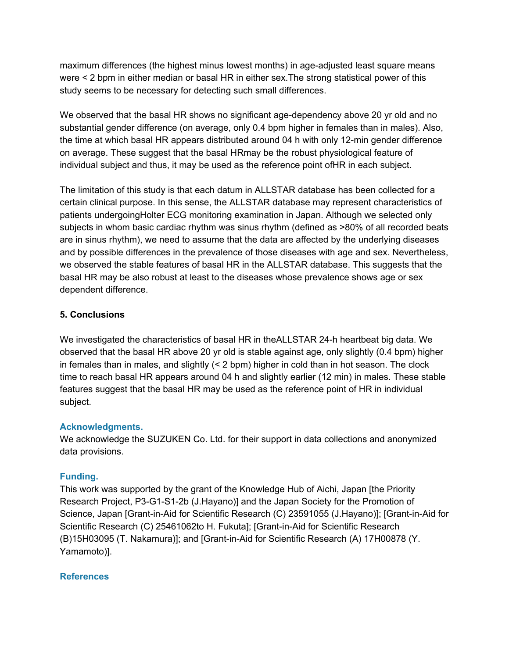maximum differences (the highest minus lowest months) in age-adjusted least square means were < 2 bpm in either median or basal HR in either sex.The strong statistical power of this study seems to be necessary for detecting such small differences.

We observed that the basal HR shows no significant age-dependency above 20 yr old and no substantial gender difference (on average, only 0.4 bpm higher in females than in males). Also, the time at which basal HR appears distributed around 04 h with only 12-min gender difference on average. These suggest that the basal HRmay be the robust physiological feature of individual subject and thus, it may be used as the reference point ofHR in each subject.

The limitation of this study is that each datum in ALLSTAR database has been collected for a certain clinical purpose. In this sense, the ALLSTAR database may represent characteristics of patients undergoingHolter ECG monitoring examination in Japan. Although we selected only subjects in whom basic cardiac rhythm was sinus rhythm (defined as >80% of all recorded beats are in sinus rhythm), we need to assume that the data are affected by the underlying diseases and by possible differences in the prevalence of those diseases with age and sex. Nevertheless, we observed the stable features of basal HR in the ALLSTAR database. This suggests that the basal HR may be also robust at least to the diseases whose prevalence shows age or sex dependent difference.

## **5. Conclusions**

We investigated the characteristics of basal HR in theALLSTAR 24-h heartbeat big data. We observed that the basal HR above 20 yr old is stable against age, only slightly (0.4 bpm) higher in females than in males, and slightly (< 2 bpm) higher in cold than in hot season. The clock time to reach basal HR appears around 04 h and slightly earlier (12 min) in males. These stable features suggest that the basal HR may be used as the reference point of HR in individual subject.

## **Acknowledgments.**

We acknowledge the SUZUKEN Co. Ltd. for their support in data collections and anonymized data provisions.

## **Funding.**

This work was supported by the grant of the Knowledge Hub of Aichi, Japan [the Priority Research Project, P3-G1-S1-2b (J.Hayano)] and the Japan Society for the Promotion of Science, Japan [Grant-in-Aid for Scientific Research (C) 23591055 (J.Hayano)]; [Grant-in-Aid for Scientific Research (C) 25461062to H. Fukuta]; [Grant-in-Aid for Scientific Research (B)15H03095 (T. Nakamura)]; and [Grant-in-Aid for Scientific Research (A) 17H00878 (Y. Yamamoto)].

#### **References**